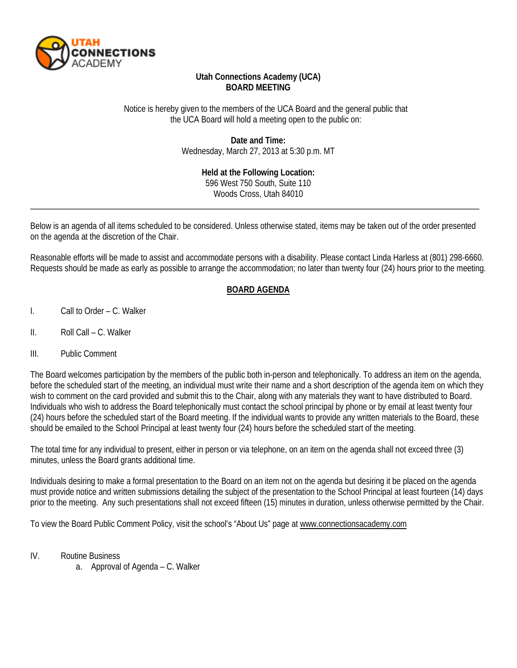

## **Utah Connections Academy (UCA) BOARD MEETING**

Notice is hereby given to the members of the UCA Board and the general public that the UCA Board will hold a meeting open to the public on:

> **Date and Time:** Wednesday, March 27, 2013 at 5:30 p.m. MT

> > **Held at the Following Location:** 596 West 750 South, Suite 110 Woods Cross, Utah 84010

Below is an agenda of all items scheduled to be considered. Unless otherwise stated, items may be taken out of the order presented on the agenda at the discretion of the Chair.

\_\_\_\_\_\_\_\_\_\_\_\_\_\_\_\_\_\_\_\_\_\_\_\_\_\_\_\_\_\_\_\_\_\_\_\_\_\_\_\_\_\_\_\_\_\_\_\_\_\_\_\_\_\_\_\_\_\_\_\_\_\_\_\_\_\_\_\_\_\_\_\_\_\_\_\_\_\_\_\_\_\_\_\_\_\_\_\_\_\_\_\_\_\_\_\_\_\_\_\_\_\_\_\_\_\_

Reasonable efforts will be made to assist and accommodate persons with a disability. Please contact Linda Harless at (801) 298-6660. Requests should be made as early as possible to arrange the accommodation; no later than twenty four (24) hours prior to the meeting.

## **BOARD AGENDA**

- I. Call to Order C. Walker
- II. Roll Call C. Walker
- III. Public Comment

The Board welcomes participation by the members of the public both in-person and telephonically. To address an item on the agenda, before the scheduled start of the meeting, an individual must write their name and a short description of the agenda item on which they wish to comment on the card provided and submit this to the Chair, along with any materials they want to have distributed to Board. Individuals who wish to address the Board telephonically must contact the school principal by phone or by email at least twenty four (24) hours before the scheduled start of the Board meeting. If the individual wants to provide any written materials to the Board, these should be emailed to the School Principal at least twenty four (24) hours before the scheduled start of the meeting.

The total time for any individual to present, either in person or via telephone, on an item on the agenda shall not exceed three (3) minutes, unless the Board grants additional time.

Individuals desiring to make a formal presentation to the Board on an item not on the agenda but desiring it be placed on the agenda must provide notice and written submissions detailing the subject of the presentation to the School Principal at least fourteen (14) days prior to the meeting. Any such presentations shall not exceed fifteen (15) minutes in duration, unless otherwise permitted by the Chair.

To view the Board Public Comment Policy, visit the school's "About Us" page a[t www.connectionsacademy.com](http://www.connectionsacademy.com/)

- IV. Routine Business
	- a. Approval of Agenda C. Walker